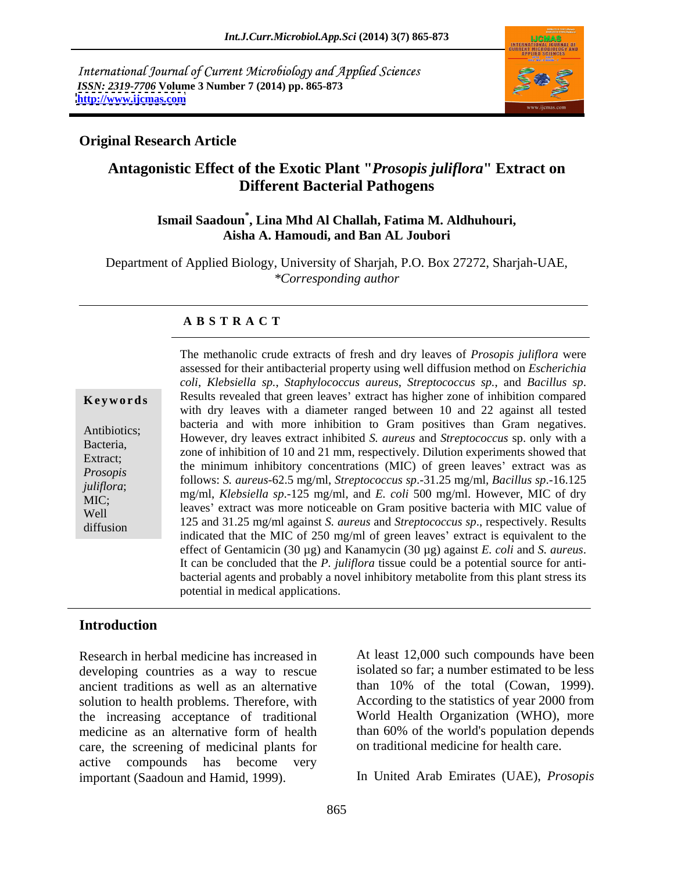International Journal of Current Microbiology and Applied Sciences *ISSN: 2319-7706* **Volume 3 Number 7 (2014) pp. 865-873 <http://www.ijcmas.com>**



### **Original Research Article**

# **Antagonistic Effect of the Exotic Plant "***Prosopis juliflora***" Extract on Different Bacterial Pathogens**

# **Ismail Saadoun\* , Lina Mhd Al Challah, Fatima M. Aldhuhouri, Aisha A. Hamoudi, and Ban AL Joubori**

Department of Applied Biology, University of Sharjah, P.O. Box 27272, Sharjah-UAE, *\*Corresponding author* 

### **A B S T R A C T**

| Keywords |  |  |  |  |  |
|----------|--|--|--|--|--|
|----------|--|--|--|--|--|

coli, Klebsiella sp., Staphylococcus aureus, Streptococcus sp., and Bacillus sp.<br> **Keywords** Results revealed that green leaves' extract has higher zone of inhibition compared Antibiotics; However, dry leaves extract inhibited *S. aureus* and *Streptococcus* sp. only with a Bacteria,<br>
zone of inhibition of 10 and 21 mm, respectively. Dilution experiments showed that<br>
the minimum inhibition expectation (MG) of such heavy' retreat means *Prosopis* and the infinitum infinitivity concentrations (WIC) of green reaves extract was as follows: *S. aureus*-62.5 mg/ml, *Streptococcus sp.*-31.25 mg/ml, *Bacillus sp.*-16.125 *juliflora*; mg/ml, *Klebsiella sp*.-125 mg/ml, and *E. coli* 500 mg/ml. However, MIC of dry MIC;<br>
leaves' extract was more noticeable on Gram positive bacteria with MIC value of Well Eaves Extract was more nonceable on Gram positive bacteria with MC value of<br>diffusion 125 and 31.25 mg/ml against *S. aureus* and *Streptococcus sp.*, respectively. Results diffusion<br>indicated that the MIC of 250 mg/ml of green leaves' extract is equivalent to the The methanolic crude extracts of fresh and dry leaves of *Prosopis juliflora* were assessed for their antibacterial property using well diffusion method on *Escherichia*  with dry leaves with a diameter ranged between 10 and 22 against all tested bacteria and with more inhibition to Gram positives than Gram negatives. the minimum inhibitory concentrations (MIC) of green leaves' extract was as effect of Gentamicin (30 µg) and Kanamycin (30 µg) against *E. coli* and *S. aureus*. It can be concluded that the *P. juliflora* tissue could be <sup>a</sup> potential source for anti bacterial agents and probably a novel inhibitory metabolite from this plant stress its potential in medical applications.

# **Introduction**

Research in herbal medicine has increased in developing countries as a way to rescue ancient traditions as well as an alternative solution to health problems. Therefore, with the increasing acceptance of traditional medicine as an alternative form of health care, the screening of medicinal plants for active compounds has become very important (Saadoun and Hamid, 1999). In United Arab Emirates (UAE), *Prosopis* 

At least 12,000 such compounds have been isolated so far; a number estimated to be less than 10% of the total (Cowan, 1999). According to the statistics of year 2000 from World Health Organization (WHO), more than 60% of the world's population depends on traditional medicine for health care.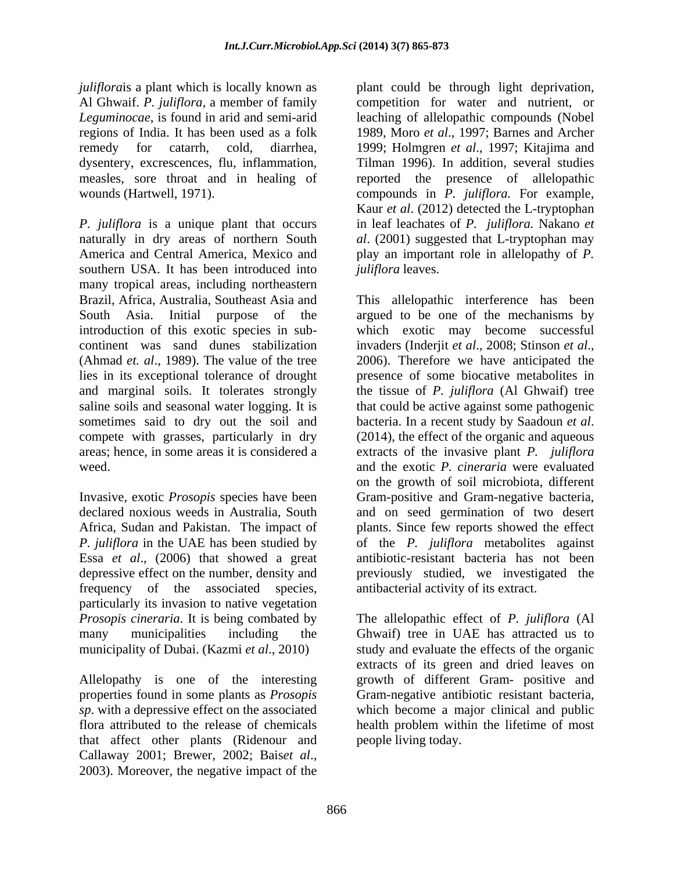*juliflorais* a plant which is locally known as  $\qquad$  plant could be through light deprivation,

*P. juliflora* is a unique plant that occurs in leaf leachates of *P. juliflora.* Nakano *et*  naturally in dry areas of northern South *al*. (2001) suggested that L-tryptophan may America and Central America, Mexico and play an important role in allelopathy of *P.*  southern USA. It has been introduced into many tropical areas, including northeastern Brazil, Africa, Australia, Southeast Asia and This allelopathic interference has been South Asia. Initial purpose of the argued to be one of the mechanisms by introduction of this exotic species in sub- which exotic may become successful continent was sand dunes stabilization invaders (Inderjit et al., 2008; Stinson et al., (Ahmad *et. al.*, 1989). The value of the tree 2006). Therefore we have anticipated the lies in its exceptional tolerance of drought presence of some biocative metabolites in and marginal soils. It tolerates strongly the tissue of *P. juliflora* (Al Ghwaif) tree saline soils and seasonal water logging. It is that could be active against some pathogenic sometimes said to dry out the soil and bacteria. In a recent study by Saadoun et al. compete with grasses, particularly in dry (2014), the effect of the organic and aqueous areas; hence, in some areas it is considered a extracts of the invasive plant *P. juliflora* weed. and the exotic *P. cineraria* were evaluated

Essa *et al*., (2006) that showed a great depressive effect on the number, density and particularly its invasion to native vegetation municipality of Dubai. (Kazmi *et al*., 2010)

properties found in some plants as *Prosopis*  that affect other plants (Ridenour and Callaway 2001; Brewer, 2002; Bais*et al*., 2003). Moreover, the negative impact of the

Al Ghwaif. *P.juliflora,* a member of family competition for water and nutrient, or *Leguminocae*, is found in arid and semi-arid leaching of allelopathic compounds (Nobel regions of India. It has been used as a folk 1989, Moro *et al*., 1997; Barnes and Archer remedy for catarrh, cold, diarrhea, 1999; Holmgren *et al*., 1997; Kitajima and dysentery, excrescences, flu, inflammation, Tilman 1996). In addition, several studies measles, sore throat and in healing of reported the presence of allelopathic wounds (Hartwell, 1971). compounds in *P. juliflora.* For example, Kaur *et al*. (2012) detected the L-tryptophan *juliflora* leaves.

Invasive, exotic *Prosopis* species have been Gram-positive and Gram-negative bacteria, declared noxious weeds in Australia, South and on seed germination of two desert Africa, Sudan and Pakistan. The impact of plants. Since few reports showed the effect *P. juliflora* in the UAE has been studied by of the *P. juliflora* metabolites against frequency of the associated species, antibacterial activity of its extract. invaders (Inderjit *et al*., 2008; Stinson *et al*., 2006). Therefore we have anticipated the bacteria. In <sup>a</sup> recent study by Saadoun *et al*. (2014), the effect of the organic and aqueous on the growth of soil microbiota, different antibiotic-resistant bacteria has not been previously studied, we investigated the

*Prosopis cineraria*. It is being combated by The allelopathic effect of *P. juliflora* (Al many municipalities including the Ghwaif) tree in UAE has attracted us to Allelopathy is one of the interesting growth of different Gram- positive and sp. with a depressive effect on the associated which become a major clinical and public flora attributed to the release of chemicals health problem within the lifetime of most study and evaluate the effects of the organic extracts of its green and dried leaves on Gram-negative antibiotic resistant bacteria, people living today.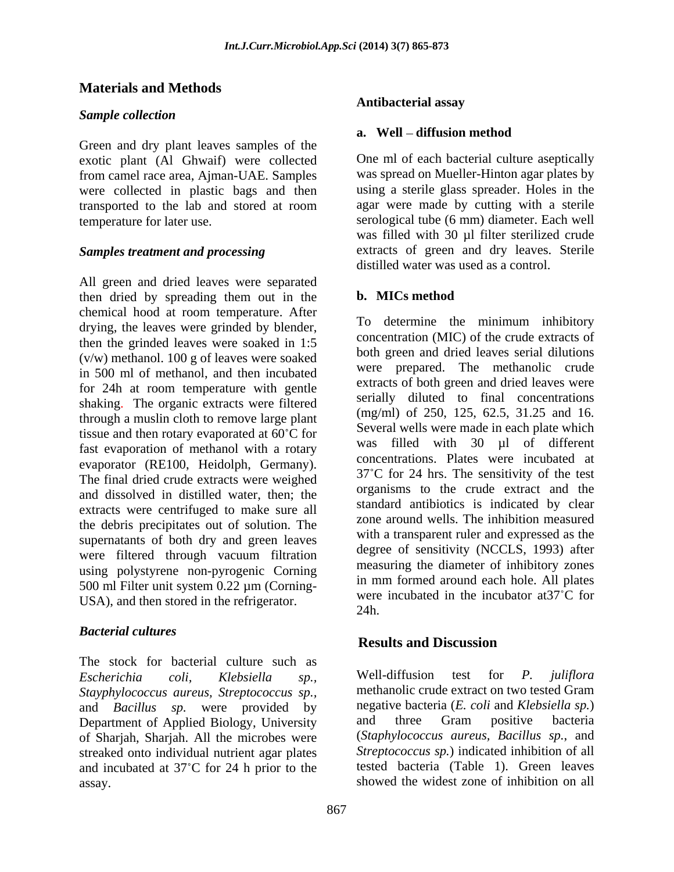# **Materials and Methods**

#### *Sample collection*

Green and dry plant leaves samples of the exotic plant (Al Ghwaif) were collected from camel race area, Ajman-UAE. Samples were collected in plastic bags and then transported to the lab and stored at room

All green and dried leaves were separated<br>then dried by spreading them out in the **b. MICs method** then dried by spreading them out in the chemical hood at room temperature. After drying, the leaves were grinded by blender, then the grinded leaves were soaked in 1:5 (v/w) methanol. 100 g of leaves were soaked in 500 ml of methanol, and then incubated for 24h at room temperature with gentle shaking. The organic extracts were filtered through a muslin cloth to remove large plant tissue and then rotary evaporated at  $60^{\circ}$ C for fast evaporation of methanol with a rotary evaporator (RE100, Heidolph, Germany). The final dried crude extracts were weighed and dissolved in distilled water, then; the extracts were centrifuged to make sure all the debris precipitates out of solution. The supernatants of both dry and green leaves were filtered through vacuum filtration using polystyrene non-pyrogenic Corning 500 ml Filter unit system 0.22 µm (Corning- USA), and then stored in the refrigerator. Were

#### *Bacterial cultures*

The stock for bacterial culture such as<br>
Escherichia coli Klebsiella sp Well-diffusion test for P. *Stayphylococcus aureus, Streptococcus sp.,* and *Bacillus sp*. were provided by negative bacteria (*E. coli* and *Klebsiella sp.*)<br>Department of Applied Biology University and three Gram positive bacteria Department of Applied Biology, University of Sharjah, Sharjah. All the microbes were streaked onto individual nutrient agar plates and incubated at 37°C for 24 h prior to the assay. showed the widest zone of inhibition on all

#### **Antibacterial assay**

#### **a.** Well – diffusion method

temperature for later use. serological tube (6 mm) diameter. Each well *Samples treatment and processing* extracts of green and dry leaves. Sterile One ml of each bacterial culture aseptically was spread on Mueller-Hinton agar plates by using a sterile glass spreader. Holes in the agar were made by cutting with a sterile was filled with 30 µl filter sterilized crude distilled water was used as a control.

#### **b. MICs method**

To determine the minimum inhibitory concentration (MIC) of the crude extracts of both green and dried leaves serial dilutions were prepared. The methanolic crude extracts of both green and dried leaves were serially diluted to final concentrations (mg/ml) of 250, 125, 62.5, 31.25 and 16. Several wells were made in each plate which was filled with 30 ul of different concentrations. Plates were incubated at  $37^{\circ}$ C for 24 hrs. The sensitivity of the test organisms to the crude extract and the standard antibiotics is indicated by clear zone around wells. The inhibition measured with a transparent ruler and expressed as the degree of sensitivity (NCCLS, 1993) after measuring the diameter of inhibitory zones in mm formed around each hole. All plates were incubated in the incubator at 37°C for 24h.

# **Results and Discussion**

*Escherichia coli, Klebsiella sp.,* Well-diffusion test for *P. juliflora* methanolic crude extract on two tested Gram negative bacteria (*E. coli* and *Klebsiella sp.*) and three Gram positive bacteria (*Staphylococcus aureus, Bacillus sp.*, and *Streptococcus sp.*) indicated inhibition of all tested bacteria (Table 1). Green leaves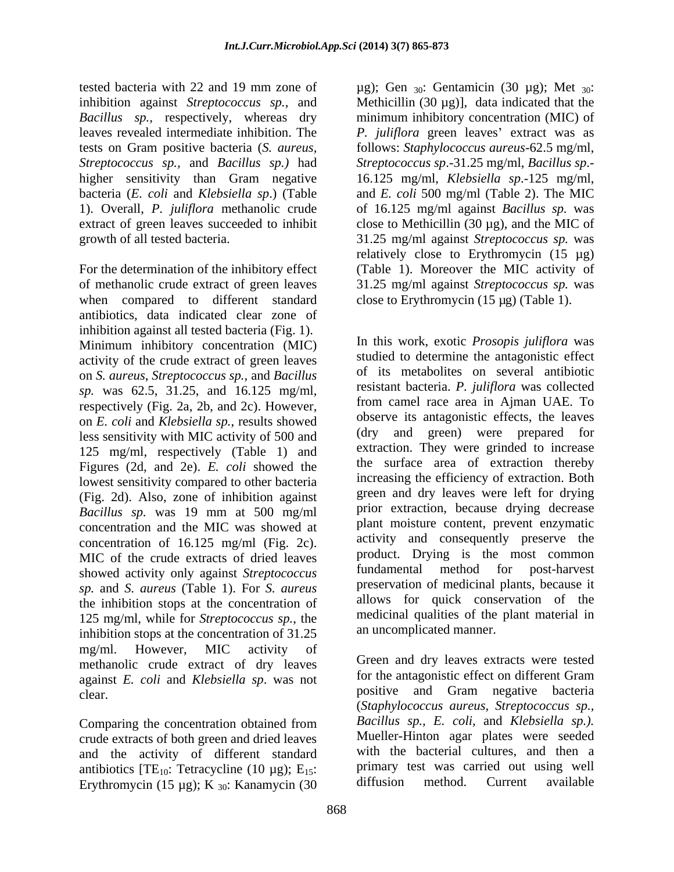higher sensitivity than Gram negative bacteria (*E. coli* and *Klebsiella sp*.) (Table

For the determination of the inhibitory effect of methanolic crude extract of green leaves 31.25 mg/ml against *Streptococcus sp.* was when compared to different standard antibiotics, data indicated clear zone of inhibition against all tested bacteria (Fig. 1). Minimum inhibitory concentration (MIC) activity of the crude extract of green leaves on *S. aureus*, *Streptococcus sp.,* and *Bacillus sp.* was 62.5, 31.25, and 16.125 mg/ml, respectively (Fig. 2a, 2b, and 2c). However, on *E. coli* and *Klebsiella sp.*, results showed less sensitivity with MIC activity of 500 and 125 mg/ml, respectively (Table 1) and Figures (2d, and 2e). *E. coli* showed the lowest sensitivity compared to other bacteria (Fig. 2d). Also, zone of inhibition against *Bacillus sp.* was 19 mm at 500 mg/ml concentration and the MIC was showed at concentration of 16.125 mg/ml (Fig. 2c). MIC of the crude extracts of dried leaves product. Drying is the most common showed activity only against Strentococcus fundamental method for post-harvest showed activity only against *Streptococcus sp.* and *S. aureus* (Table 1). For *S. aureus* the inhibition stops at the concentration of 125 mg/ml, while for *Streptococcus sp.*, the inhibition stops at the concentration of 31.25 mg/ml. However, MIC activity of methanolic crude extract of dry leaves against *E. coli* and *Klebsiella sp*. was not

Comparing the concentration obtained from crude extracts of both green and dried leaves and the activity of different standard antibiotics [TE<sub>10</sub>: Tetracycline (10 µg); E<sub>15</sub>: primary test was carried out using well<br>Erythromycin (15 µg); K<sub>12</sub>: Kanamycin (30) diffusion method. Current available Erythromycin (15 µg); K  $_{30}$ : Kanamycin (30

tested bacteria with 22 and 19 mm zone of  $\mu$ g); Gen  $_{30}$ : Gentamicin (30  $\mu$ g); Met  $_{30}$ : inhibition against *Streptococcus sp.*, and Methicillin (30 µg)], data indicated that the *Bacillus sp.,* respectively, whereas dry minimum inhibitory concentration (MIC) of leaves revealed intermediate inhibition. The *P. juliflora* green leaves' extract was as tests on Gram positive bacteria (*S. aureus,* follows: *Staphylococcus aureus*-62.5 mg/ml, *Streptococcus sp.,* and *Bacillus sp.)* had *Streptococcus sp*.-31.25 mg/ml, *Bacillus sp*.- 1). Overall, *P. juliflora* methanolic crude of 16.125 mg/ml against *Bacillus sp.* was extract of green leaves succeeded to inhibit close to Methicillin (30 µg), and the MIC of growth of all tested bacteria. 31.25 mg/ml against *Streptococcus sp.* was 16.125 mg/ml, *Klebsiella sp*.-125 mg/ml, and *E. coli* 500 mg/ml (Table 2). The MIC relatively close to Erythromycin (15 µg) (Table 1). Moreover the MIC activity of close to Erythromycin (15 µg) (Table 1).

> In this work, exotic *Prosopis juliflora* was studied to determine the antagonistic effect of its metabolites on several antibiotic resistant bacteria. *P. juliflora* was collected from camel race area in Ajman UAE. To observe its antagonistic effects, the leaves (dry and green) were prepared for extraction. They were grinded to increase the surface area of extraction thereby increasing the efficiency of extraction. Both green and dry leaves were left for drying prior extraction, because drying decrease plant moisture content, prevent enzymatic activity and consequently preserve the product. Drying is the most common fundamental method for preservation of medicinal plants, because it allows for quick conservation of the medicinal qualities of the plant material in an uncomplicated manner.

clear. **positive** and Gram negative bacteria Green and dry leaves extracts were tested for the antagonistic effect on different Gram (*Staphylococcus aureus, Streptococcus sp., Bacillus sp., E. coli,* and *Klebsiella sp.).* Mueller-Hinton agar plates were seeded with the bacterial cultures, and then a primary test was carried out using well diffusion method. Current available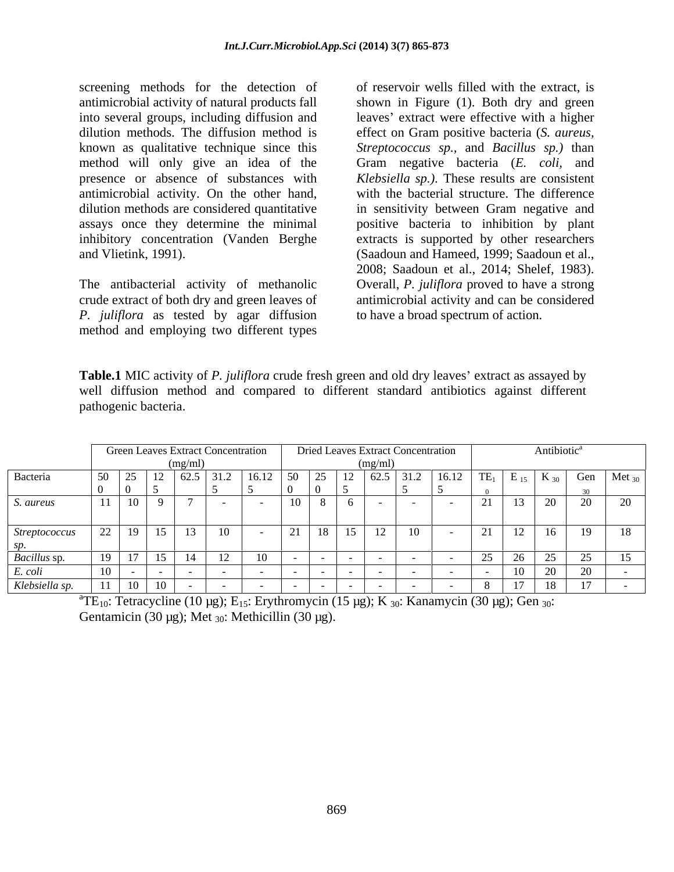screening methods for the detection of antimicrobial activity of natural products fall shown in Figure (1). Both dry and green into several groups, including diffusion and dilution methods. The diffusion method is effect on Gram positive bacteria (*S. aureus,* known as qualitative technique since this *Streptococcus sp.,* and *Bacillus sp.)* than method will only give an idea of the presence or absence of substances with *Klebsiella sp.*). These results are consistent antimicrobial activity. On the other hand, dilution methods are considered quantitative in sensitivity between Gram negative and assays once they determine the minimal positive bacteria to inhibition by plant inhibitory concentration (Vanden Berghe extracts is supported by other researchers

*P. juliflora* as tested by agar diffusion method and employing two different types

and Vlietink, 1991). (Saadoun and Hameed, 1999; Saadoun et al., The antibacterial activity of methanolic Overall, *P. juliflora* proved to have a strong crude extract of both dry and green leaves of antimicrobial activity and can be considered of reservoir wells filled with the extract, is leaves' extract were effective with a higher Gram negative bacteria (*E. coli,* and with the bacterial structure. The difference in sensitivity between Gram negative and 2008; Saadoun et al., 2014; Shelef, 1983). to have a broad spectrum of action.

**Table.1** MIC activity of *P. juliflora* crude fresh green and old dry leaves' extract as assayed by well diffusion method and compared to different standard antibiotics against different pathogenic bacteria.

|                |              |              |                                |    | <b>Green Leaves Extract Concentration</b> |                                                                                          |                                 |            |    | <b>Dried Leaves Extract Concentration</b>                                          |                             | Antibiotic <sup>a</sup>                      |                      |                     |    |  |
|----------------|--------------|--------------|--------------------------------|----|-------------------------------------------|------------------------------------------------------------------------------------------|---------------------------------|------------|----|------------------------------------------------------------------------------------|-----------------------------|----------------------------------------------|----------------------|---------------------|----|--|
|                |              |              |                                |    |                                           |                                                                                          |                                 |            |    | (mg/ml)                                                                            |                             |                                              |                      |                     |    |  |
| Bacteria       | $50 \mid 25$ |              |                                |    |                                           | $\begin{array}{ c c c c c c c c } \hline 62.5 & 31.2 & 16.12 & 50 \\ \hline \end{array}$ |                                 | $25 \t 12$ |    | $\begin{array}{ c c c c c c c c } \hline 62.5 & 31.2 & 16.12 \\\hline \end{array}$ |                             |                                              |                      |                     |    |  |
|                |              |              |                                |    |                                           |                                                                                          | v                               |            |    |                                                                                    |                             |                                              |                      |                     |    |  |
| S. aureus      |              | $11 \mid 10$ |                                |    |                                           |                                                                                          | 10                              |            |    |                                                                                    |                             |                                              | $\Omega$<br>$\omega$ | $\Omega$<br>$\sim$  | 20 |  |
|                |              |              |                                |    |                                           |                                                                                          |                                 |            |    |                                                                                    |                             |                                              |                      |                     |    |  |
| Streptococcus  | 22 19        |              | 15                             | 13 | 10                                        |                                                                                          | $\bigcap_{i=1}^n$<br>$\angle 1$ | 18         | 15 | $\sqrt{10}$<br>10                                                                  | $\bigcap$ 1                 | $\sqrt{10}$<br>$\blacksquare$ $\blacksquare$ | 16                   | 19                  | 18 |  |
| SD.            |              |              |                                |    |                                           |                                                                                          |                                 |            |    |                                                                                    | $\sim$ 1                    |                                              |                      |                     |    |  |
| Bacillus sp.   |              |              | 15                             |    | 12                                        | 10                                                                                       |                                 |            |    |                                                                                    | $\gamma$ $\epsilon$<br>2J - | $\sim$<br>ZU                                 | $\cap$ $\subset$     | $\Delta$ $\epsilon$ | 15 |  |
| E. coli        |              |              | <b>Contract Contract State</b> |    |                                           |                                                                                          |                                 |            |    |                                                                                    |                             |                                              | $\Omega$             | $\sim$              |    |  |
| Klebsiella sp. |              |              | 10                             |    |                                           |                                                                                          |                                 |            |    |                                                                                    |                             |                                              | 10                   | 17                  |    |  |

<sup>a</sup>TE<sub>10</sub>: Tetracycline (10 µg); E<sub>15</sub>: Erythromycin (15 µg); K <sub>30</sub>: Kanamycin (30 µg); Gen <sub>30</sub>: Gentamicin (30 µg); Met  $_{30}$ : Methicillin (30 µg).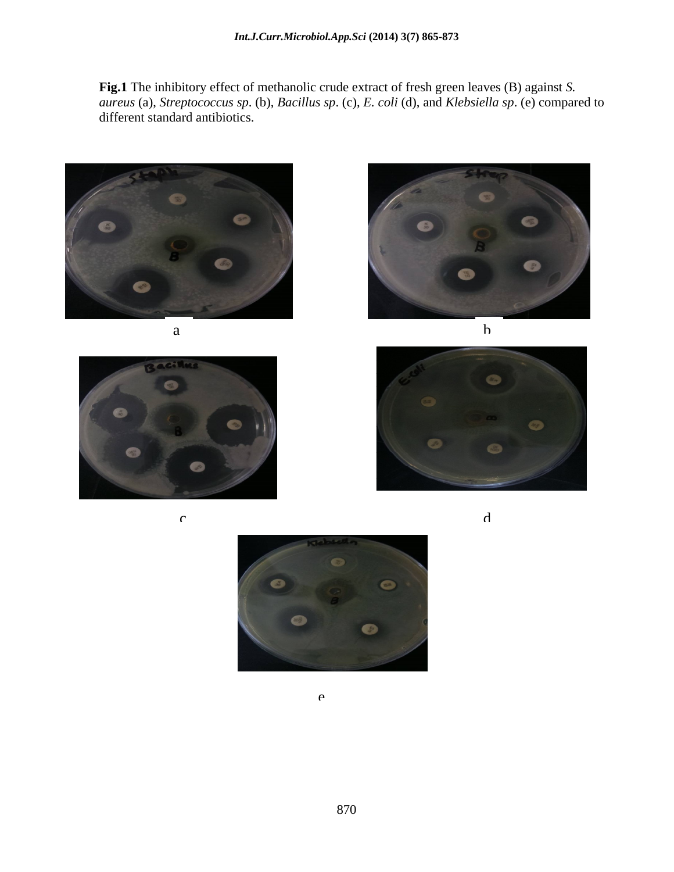**Fig.1** The inhibitory effect of methanolic crude extract of fresh green leaves (B) against *S. aureus* (a), *Streptococcus sp*. (b), *Bacillus sp*. (c), *E. coli* (d), and *Klebsiella sp*. (e) compared to different standard antibiotics.













e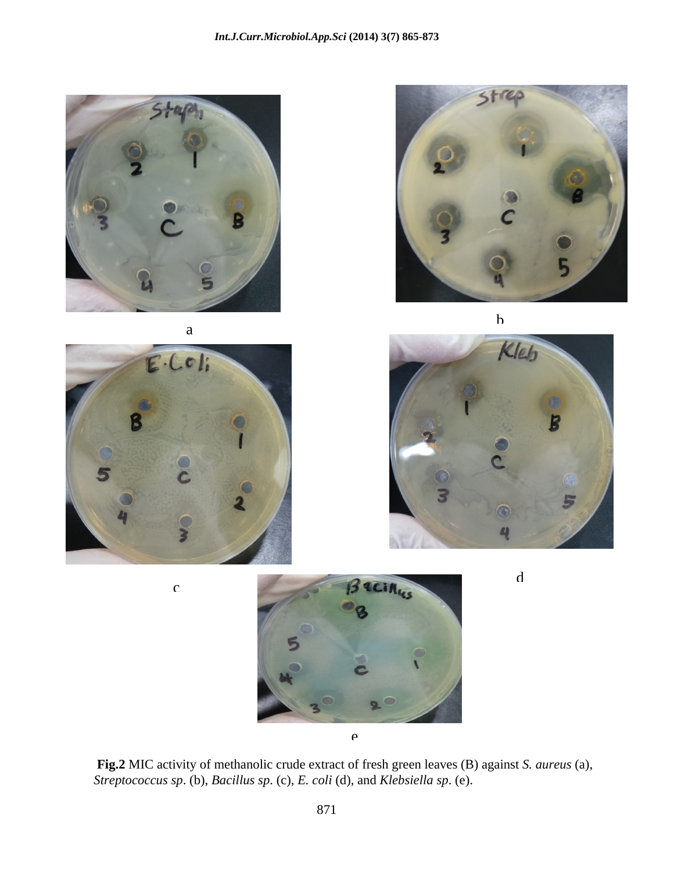











*Streptococcus sp*. (b), *Bacillus sp*. (c), *E. coli* (d), and *Klebsiella sp*. (e).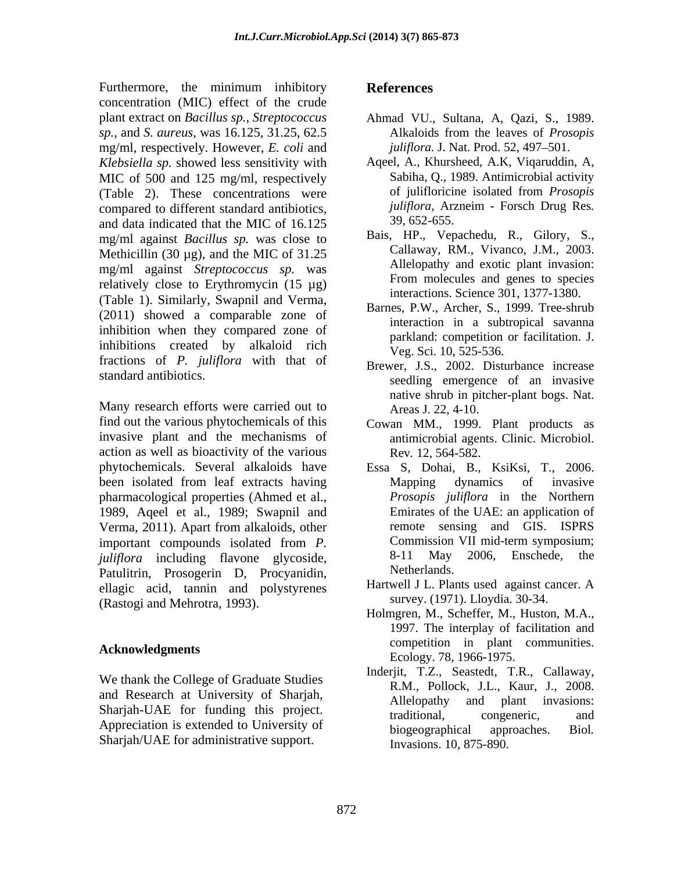Furthermore, the minimum inhibitory References concentration (MIC) effect of the crude plant extract on *Bacillus sp., Streptococcus sp.,* and *S. aureus,* was 16.125, 31.25, 62.5 mg/ml, respectively. However, *E. coli* and *Klebsiella sp.* showed less sensitivity with MIC of 500 and 125 mg/ml, respectively (Table 2). These concentrations were of julifloricine isolated from *Prosopis* compared to different standard antibiotics *juliflora*, Arzneim - Forsch Drug Res. compared to different standard antibiotics, *juliflora*, Arangled that the MIC of 16.125 and data indicated that the MIC of 16.125 and 39, 652-655. and data indicated that the MIC of 16.125 mg/ml against *Bacillus sp.* was close to Methicillin (30  $\mu$ g), and the MIC of 31.25 mg/ml against *Streptococcus sp.* was relatively close to Erythromycin (15 µg) (Table 1). Similarly, Swapnil and Verma, (2011) showed a comparable zone of inhibition when they compared zone of inhibitions created by alkaloid rich fractions of *P. juliflora* with that of

Many research efforts were carried out to find out the various phytochemicals of this Cowan MM., 1999. Plant products as invasive plant and the mechanisms of antimicrobial agents. Clinic. Microbiol. action as well as bioactivity of the various phytochemicals. Several alkaloids have Essa S, Dohai, B., KsiKsi, T., 2006. been isolated from leaf extracts having **Mapping** dynamics of invasive pharmacological properties (Ahmed et al., 1989, Aqeel et al., 1989; Swapnil and Verma, 2011). Apart from alkaloids, other the emote sensing and GIS. ISPRS important compounds isolated from P Commission VII mid-term symposium; important compounds isolated from *P*. Commission VII mid-term symposium;<br>
indifferent including flavone glycoside 8-11 May 2006. Enschede, the *juliflora* including flavone glycoside, 8-11 May<br>Patulitrin Prosogerin D Procyanidin Netherlands. Patulitrin, Prosogerin D, Procyanidin, ellagic acid, tannin and polystyrenes (Rastogi and Mehrotra, 1993).

We thank the College of Graduate Studies Sharjah/UAE for administrative support.

## **References**

- Ahmad VU., Sultana, A, Qazi, S., 1989. Alkaloids from the leaves of *Prosopis juliflora.* J. Nat. Prod. 52, 497–501.
- Aqeel, A., Khursheed, A.K, Viqaruddin, A, Sabiha, Q., 1989. Antimicrobial activity of julifloricine isolated from *Prosopis juliflora*, Arzneim - Forsch Drug Res*.* 39, 652-655.
- Bais, HP., Vepachedu, R., Gilory, S., Callaway, RM., Vivanco, J.M., 2003. Allelopathy and exotic plant invasion: From molecules and genes to species interactions. Science 301, 1377-1380.
- Barnes, P.W., Archer, S., 1999. Tree-shrub interaction in a subtropical savanna parkland: competition or facilitation. J. Veg. Sci. 10, 525-536.
- standard antibiotics.<br>
seedling emergence of an invasive Brewer, J.S., 2002. Disturbance increase native shrub in pitcher-plant bogs. Nat. Areas J. 22, 4-10.
	- Rev*.* 12, 564-582.
	- Mapping dynamics of invasive *Prosopis juliflora* in the Northern Emirates of the UAE: an application of remote sensing and GIS. ISPRS Commission VII mid-term symposium; 8-11 May 2006, Enschede, the Netherlands.
	- Hartwell J L. Plants used against cancer. A survey. (1971). Lloydia. 30-34.
- Acknowledgments **Community** Competition in plant communities. Holmgren, M., Scheffer, M., Huston, M.A., 1997. The interplay of facilitation and competition in plant communities. Ecology. 78, 1966-1975.
- and Research at University of Sharjah, Allelopathy and plant invasions: Sharjah-UAE for funding this project.<br>traditional, congeneric, and Appreciation is extended to University of the biogeographical approaches. Biol. Inderjit, T.Z., Seastedt, T.R., Callaway, R.M., Pollock, J.L., Kaur, J., 2008. Allelopathy and plant invasions: traditional, congeneric, and biogeographical Invasions. 10, 875-890.